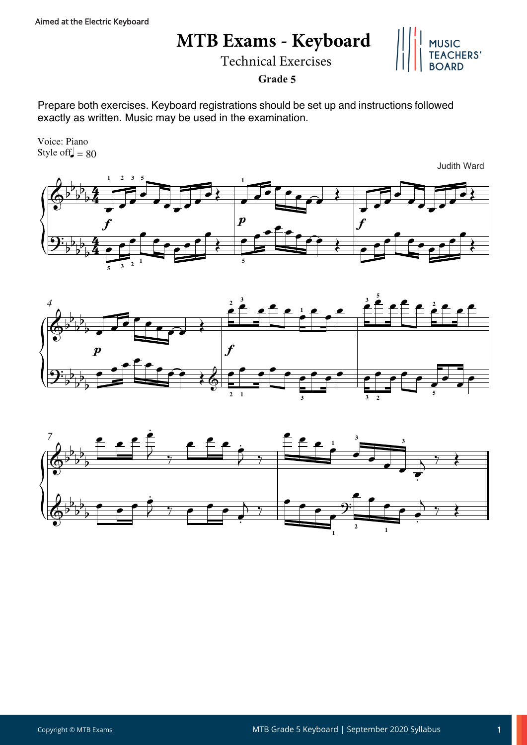## **MTB Exams - Keyboard**

Technical Exercises



**Grade 5**

Prepare both exercises. Keyboard registrations should be set up and instructions followed exactly as written. Music may be used in the examination.

Style of  $\vert = 80$ Voice: Piano